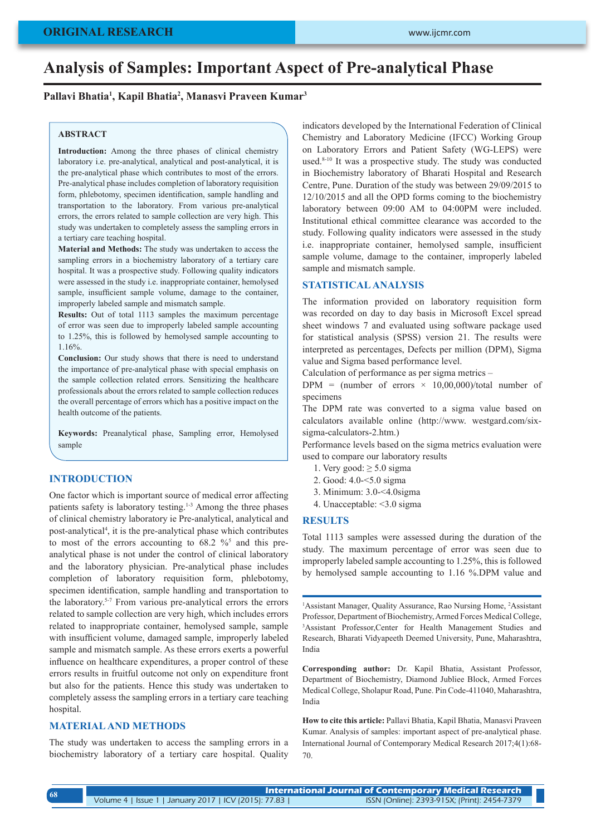# **Analysis of Samples: Important Aspect of Pre-analytical Phase**

# **Pallavi Bhatia1 , Kapil Bhatia2 , Manasvi Praveen Kumar3**

### **ABSTRACT**

**Introduction:** Among the three phases of clinical chemistry laboratory i.e. pre-analytical, analytical and post-analytical, it is the pre-analytical phase which contributes to most of the errors. Pre-analytical phase includes completion of laboratory requisition form, phlebotomy, specimen identification, sample handling and transportation to the laboratory. From various pre-analytical errors, the errors related to sample collection are very high. This study was undertaken to completely assess the sampling errors in a tertiary care teaching hospital.

**Material and Methods:** The study was undertaken to access the sampling errors in a biochemistry laboratory of a tertiary care hospital. It was a prospective study. Following quality indicators were assessed in the study i.e. inappropriate container, hemolysed sample, insufficient sample volume, damage to the container, improperly labeled sample and mismatch sample.

**Results:** Out of total 1113 samples the maximum percentage of error was seen due to improperly labeled sample accounting to 1.25%, this is followed by hemolysed sample accounting to 1.16%.

**Conclusion:** Our study shows that there is need to understand the importance of pre-analytical phase with special emphasis on the sample collection related errors. Sensitizing the healthcare professionals about the errors related to sample collection reduces the overall percentage of errors which has a positive impact on the health outcome of the patients.

**Keywords:** Preanalytical phase, Sampling error, Hemolysed sample

#### **INTRODUCTION**

One factor which is important source of medical error affecting patients safety is laboratory testing.1-3 Among the three phases of clinical chemistry laboratory ie Pre-analytical, analytical and post-analytical4 , it is the pre-analytical phase which contributes to most of the errors accounting to  $68.2 \%$  and this preanalytical phase is not under the control of clinical laboratory and the laboratory physician. Pre-analytical phase includes completion of laboratory requisition form, phlebotomy, specimen identification, sample handling and transportation to the laboratory.5-7 From various pre-analytical errors the errors related to sample collection are very high, which includes errors related to inappropriate container, hemolysed sample, sample with insufficient volume, damaged sample, improperly labeled sample and mismatch sample. As these errors exerts a powerful influence on healthcare expenditures, a proper control of these errors results in fruitful outcome not only on expenditure front but also for the patients. Hence this study was undertaken to completely assess the sampling errors in a tertiary care teaching hospital.

# **MATERIAL AND METHODS**

The study was undertaken to access the sampling errors in a biochemistry laboratory of a tertiary care hospital. Quality

indicators developed by the International Federation of Clinical Chemistry and Laboratory Medicine (IFCC) Working Group on Laboratory Errors and Patient Safety (WG-LEPS) were used.8-10 It was a prospective study. The study was conducted in Biochemistry laboratory of Bharati Hospital and Research Centre, Pune. Duration of the study was between 29/09/2015 to 12/10/2015 and all the OPD forms coming to the biochemistry laboratory between 09:00 AM to 04:00PM were included. Institutional ethical committee clearance was accorded to the study. Following quality indicators were assessed in the study i.e. inappropriate container, hemolysed sample, insufficient sample volume, damage to the container, improperly labeled sample and mismatch sample.

## **STATISTICAL ANALYSIS**

The information provided on laboratory requisition form was recorded on day to day basis in Microsoft Excel spread sheet windows 7 and evaluated using software package used for statistical analysis (SPSS) version 21. The results were interpreted as percentages, Defects per million (DPM), Sigma value and Sigma based performance level.

Calculation of performance as per sigma metrics –

DPM = (number of errors  $\times$  10,00,000)/total number of specimens

The DPM rate was converted to a sigma value based on calculators available online (http://www. westgard.com/sixsigma-calculators-2.htm.)

Performance levels based on the sigma metrics evaluation were used to compare our laboratory results

- 1. Very good:  $\geq 5.0$  sigma
- 2. Good: 4.0-<5.0 sigma
- 3. Minimum: 3.0-<4.0sigma
- 4. Unacceptable: <3.0 sigma

#### **RESULTS**

Total 1113 samples were assessed during the duration of the study. The maximum percentage of error was seen due to improperly labeled sample accounting to 1.25%, this is followed by hemolysed sample accounting to 1.16 %.DPM value and

<sup>1</sup>Assistant Manager, Quality Assurance, Rao Nursing Home, <sup>2</sup>Assistant Professor, Department of Biochemistry, Armed Forces Medical College, 3 Assistant Professor,Center for Health Management Studies and Research, Bharati Vidyapeeth Deemed University, Pune, Maharashtra, India

**Corresponding author:** Dr. Kapil Bhatia, Assistant Professor, Department of Biochemistry, Diamond Jubliee Block, Armed Forces Medical College, Sholapur Road, Pune. Pin Code-411040, Maharashtra, India

**How to cite this article:** Pallavi Bhatia, Kapil Bhatia, Manasvi Praveen Kumar. Analysis of samples: important aspect of pre-analytical phase. International Journal of Contemporary Medical Research 2017;4(1):68- 70.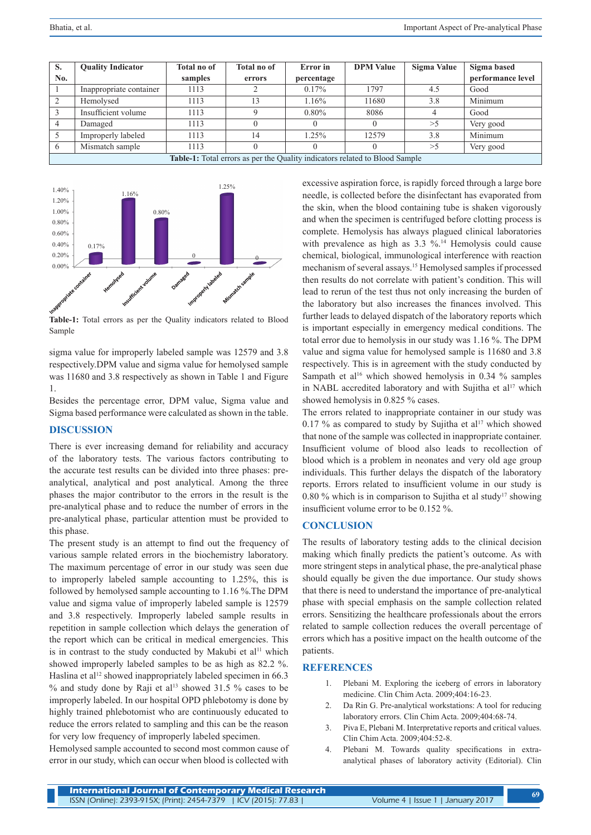| S.                                                                                 | <b>Quality Indicator</b> | <b>Total no of</b> | Total no of | Error in   | <b>DPM Value</b> | Sigma Value | Sigma based       |
|------------------------------------------------------------------------------------|--------------------------|--------------------|-------------|------------|------------------|-------------|-------------------|
| No.                                                                                |                          | samples            | errors      | percentage |                  |             | performance level |
|                                                                                    | Inappropriate container  | 1113               |             | 0.17%      | 1797             | 4.5         | Good              |
|                                                                                    | Hemolysed                | 1113               | 13          | 1.16%      | 11680            | 3.8         | Minimum           |
|                                                                                    | Insufficient volume      | 1113               |             | $0.80\%$   | 8086             |             | Good              |
|                                                                                    | Damaged                  | 1113               |             |            |                  | >5          | Very good         |
|                                                                                    | Improperly labeled       | 1113               | 14          | 1.25%      | 12579            | 3.8         | Minimum           |
|                                                                                    | Mismatch sample          | 1113               |             |            |                  | >5          | Very good         |
| <b>Table-1:</b> Total errors as per the Quality indicators related to Blood Sample |                          |                    |             |            |                  |             |                   |



**Table-1:** Total errors as per the Quality indicators related to Blood Sample

sigma value for improperly labeled sample was 12579 and 3.8 respectively.DPM value and sigma value for hemolysed sample was 11680 and 3.8 respectively as shown in Table 1 and Figure 1.

Besides the percentage error, DPM value, Sigma value and Sigma based performance were calculated as shown in the table.

## **DISCUSSION**

There is ever increasing demand for reliability and accuracy of the laboratory tests. The various factors contributing to the accurate test results can be divided into three phases: preanalytical, analytical and post analytical. Among the three phases the major contributor to the errors in the result is the pre-analytical phase and to reduce the number of errors in the pre-analytical phase, particular attention must be provided to this phase.

The present study is an attempt to find out the frequency of various sample related errors in the biochemistry laboratory. The maximum percentage of error in our study was seen due to improperly labeled sample accounting to 1.25%, this is followed by hemolysed sample accounting to 1.16 %.The DPM value and sigma value of improperly labeled sample is 12579 and 3.8 respectively. Improperly labeled sample results in repetition in sample collection which delays the generation of the report which can be critical in medical emergencies. This is in contrast to the study conducted by Makubi et al<sup>11</sup> which showed improperly labeled samples to be as high as 82.2 %. Haslina et al<sup>12</sup> showed inappropriately labeled specimen in 66.3  $%$  and study done by Raji et al<sup>13</sup> showed 31.5 % cases to be improperly labeled. In our hospital OPD phlebotomy is done by highly trained phlebotomist who are continuously educated to reduce the errors related to sampling and this can be the reason for very low frequency of improperly labeled specimen.

Hemolysed sample accounted to second most common cause of error in our study, which can occur when blood is collected with excessive aspiration force, is rapidly forced through a large bore needle, is collected before the disinfectant has evaporated from the skin, when the blood containing tube is shaken vigorously and when the specimen is centrifuged before clotting process is complete. Hemolysis has always plagued clinical laboratories with prevalence as high as  $3.3 \%$ .<sup>14</sup> Hemolysis could cause chemical, biological, immunological interference with reaction mechanism of several assays.15 Hemolysed samples if processed then results do not correlate with patient's condition. This will lead to rerun of the test thus not only increasing the burden of the laboratory but also increases the finances involved. This further leads to delayed dispatch of the laboratory reports which is important especially in emergency medical conditions. The total error due to hemolysis in our study was 1.16 %. The DPM value and sigma value for hemolysed sample is 11680 and 3.8 respectively. This is in agreement with the study conducted by Sampath et al<sup>16</sup> which showed hemolysis in 0.34  $%$  samples in NABL accredited laboratory and with Sujitha et al<sup>17</sup> which showed hemolysis in 0.825 % cases.

The errors related to inappropriate container in our study was 0.17 % as compared to study by Sujitha et al<sup>17</sup> which showed that none of the sample was collected in inappropriate container. Insufficient volume of blood also leads to recollection of blood which is a problem in neonates and very old age group individuals. This further delays the dispatch of the laboratory reports. Errors related to insufficient volume in our study is 0.80 % which is in comparison to Sujitha et al study<sup>17</sup> showing insufficient volume error to be 0.152 %.

#### **CONCLUSION**

The results of laboratory testing adds to the clinical decision making which finally predicts the patient's outcome. As with more stringent steps in analytical phase, the pre-analytical phase should equally be given the due importance. Our study shows that there is need to understand the importance of pre-analytical phase with special emphasis on the sample collection related errors. Sensitizing the healthcare professionals about the errors related to sample collection reduces the overall percentage of errors which has a positive impact on the health outcome of the patients.

### **REFERENCES**

- 1. Plebani M. Exploring the iceberg of errors in laboratory medicine. Clin Chim Acta. 2009;404:16-23.
- 2. Da Rin G. Pre-analytical workstations: A tool for reducing laboratory errors. Clin Chim Acta. 2009;404:68-74.
- 3. Piva E, Plebani M. Interpretative reports and critical values. Clin Chim Acta. 2009;404:52-8.
- 4. Plebani M. Towards quality specifications in extraanalytical phases of laboratory activity (Editorial). Clin